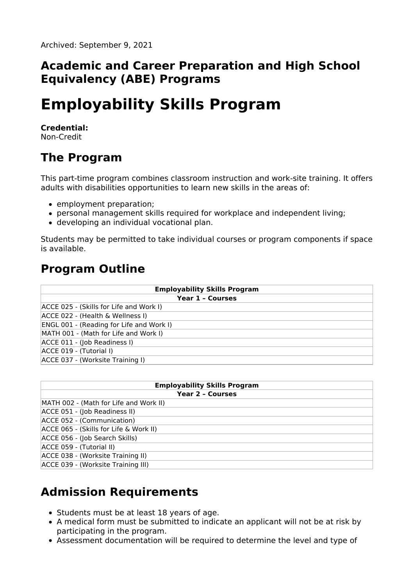### **Academic and Career Preparation and High School Equivalency (ABE) Programs**

# **Employability Skills Program**

#### **Credential:**

Non-Credit

### **The Program**

This part-time program combines classroom instruction and work-site training. It offers adults with disabilities opportunities to learn new skills in the areas of:

- employment preparation;
- personal management skills required for workplace and independent living;
- developing an individual vocational plan.

Students may be permitted to take individual courses or program components if space is available.

### **Program Outline**

| <b>Employability Skills Program</b>             |
|-------------------------------------------------|
| <b>Year 1 - Courses</b>                         |
| ACCE 025 - (Skills for Life and Work I)         |
| ACCE 022 - (Health & Wellness I)                |
| <b>ENGL 001 - (Reading for Life and Work I)</b> |
| MATH 001 - (Math for Life and Work I)           |
| ACCE 011 - (Job Readiness I)                    |
| ACCE 019 - (Tutorial I)                         |
| ACCE 037 - (Worksite Training I)                |

| <b>Employability Skills Program</b>    |
|----------------------------------------|
| <b>Year 2 - Courses</b>                |
| MATH 002 - (Math for Life and Work II) |
| ACCE 051 - (Job Readiness II)          |
| ACCE 052 - (Communication)             |
| ACCE 065 - (Skills for Life & Work II) |
| ACCE 056 - (Job Search Skills)         |
| ACCE 059 - (Tutorial II)               |
| ACCE 038 - (Worksite Training II)      |
| ACCE 039 - (Worksite Training III)     |

## **Admission Requirements**

- Students must be at least 18 years of age.
- A medical form must be submitted to indicate an applicant will not be at risk by participating in the program.
- Assessment documentation will be required to determine the level and type of